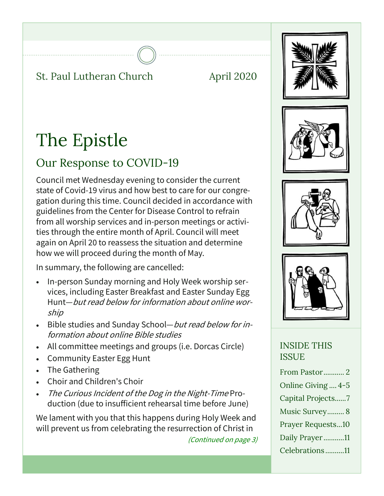### St. Paul Lutheran Church April 2020





# Our Response to COVID-19

Council met Wednesday evening to consider the current state of Covid-19 virus and how best to care for our congregation during this time. Council decided in accordance with guidelines from the Center for Disease Control to refrain from all worship services and in-person meetings or activities through the entire month of April. Council will meet again on April 20 to reassess the situation and determine how we will proceed during the month of May.

In summary, the following are cancelled:

- In-person Sunday morning and Holy Week worship services, including Easter Breakfast and Easter Sunday Egg Hunt—but read below for information about online worship
- Bible studies and Sunday School—but read below for information about online Bible studies
- All committee meetings and groups (i.e. Dorcas Circle)
- Community Easter Egg Hunt
- The Gathering
- Choir and Children's Choir
- . The Curious Incident of the Dog in the Night-Time Production (due to insufficient rehearsal time before June)

We lament with you that this happens during Holy Week and will prevent us from celebrating the resurrection of Christ in

(Continued on page 3)







### INSIDE THIS ISSUE

| From Pastor2             |
|--------------------------|
| Online Giving  4-5       |
| Capital Projects7        |
| Music Survey 8           |
| <b>Prayer Requests10</b> |
| Daily Prayer11           |
| Celebrations11           |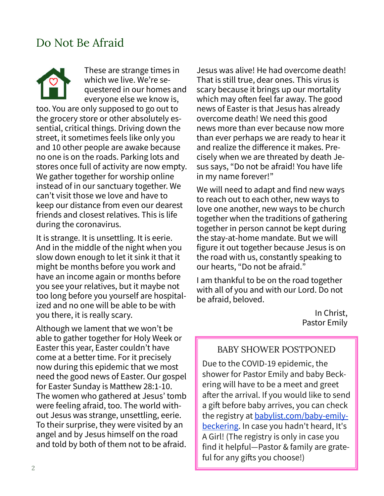### Do Not Be Afraid

These are strange times in which we live. We're sequestered in our homes and everyone else we know is, too. You are only supposed to go out to the grocery store or other absolutely essential, critical things. Driving down the street, it sometimes feels like only you and 10 other people are awake because no one is on the roads. Parking lots and stores once full of activity are now empty. We gather together for worship online instead of in our sanctuary together. We can't visit those we love and have to keep our distance from even our dearest friends and closest relatives. This is life during the coronavirus.

It is strange. It is unsettling. It is eerie. And in the middle of the night when you slow down enough to let it sink it that it might be months before you work and have an income again or months before you see your relatives, but it maybe not too long before you yourself are hospitalized and no one will be able to be with you there, it is really scary.

Although we lament that we won't be able to gather together for Holy Week or Easter this year, Easter couldn't have come at a better time. For it precisely now during this epidemic that we most need the good news of Easter. Our gospel for Easter Sunday is Matthew 28:1-10. The women who gathered at Jesus' tomb were feeling afraid, too. The world without Jesus was strange, unsettling, eerie. To their surprise, they were visited by an angel and by Jesus himself on the road and told by both of them not to be afraid.

Jesus was alive! He had overcome death! That is still true, dear ones. This virus is scary because it brings up our mortality which may often feel far away. The good news of Easter is that Jesus has already overcome death! We need this good news more than ever because now more than ever perhaps we are ready to hear it and realize the difference it makes. Precisely when we are threated by death Jesus says, "Do not be afraid! You have life in my name forever!"

We will need to adapt and find new ways to reach out to each other, new ways to love one another, new ways to be church together when the traditions of gathering together in person cannot be kept during the stay-at-home mandate. But we will figure it out together because Jesus is on the road with us, constantly speaking to our hearts, "Do not be afraid."

I am thankful to be on the road together with all of you and with our Lord. Do not be afraid, beloved.

> In Christ, Pastor Emily

#### BABY SHOWER POSTPONED

Due to the COVID-19 epidemic, the shower for Pastor Emily and baby Beckering will have to be a meet and greet after the arrival. If you would like to send a gift before baby arrives, you can check the registry at **babylist.com/baby-emily**beckering. In case you hadn't heard, It's A Girl! (The registry is only in case you find it helpful—Pastor & family are grateful for any gifts you choose!)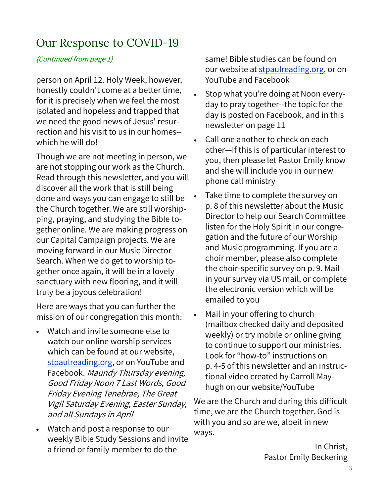## Our Response to COVID-19

### (Continued from page 1)

person on April 12. Holy Week, however, honestly couldn't come at a better time, for it is precisely when we feel the most isolated and hopeless and trapped that we need the good news of Jesus' resurrection and his visit to us in our homes- which he will do!

Though we are not meeting in person, we are not stopping our work as the Church. Read through this newsletter, and you will discover all the work that is still being done and ways you can engage to still be the Church together. We are still worshipping, praying, and studying the Bible together online. We are making progress on our Capital Campaign projects. We are moving forward in our Music Director Search. When we do get to worship together once again, it will be in a lovely sanctuary with new flooring, and it will truly be a joyous celebration!

Here are ways that you can further the mission of our congregation this month:

- Watch and invite someone else to watch our online worship services which can be found at our website, stpaulreading.org, or on YouTube and Facebook. Maundy Thursday evening, Good Friday Noon 7 Last Words, Good Friday Evening Tenebrae, The Great Vigil Saturday Evening, Easter Sunday, and all Sundays in April
- Watch and post a response to our weekly Bible Study Sessions and invite a friend or family member to do the

same! Bible studies can be found on our website at stpaulreading.org, or on YouTube and Facebook

- Stop what you're doing at Noon everyday to pray together--the topic for the day is posted on Facebook, and in this newsletter on page 11
- Call one another to check on each other—if this is of particular interest to you, then please let Pastor Emily know and she will include you in our new phone call ministry
- Take time to complete the survey on p. 8 of this newsletter about the Music Director to help our Search Committee listen for the Holy Spirit in our congregation and the future of our Worship and Music programming. If you are a choir member, please also complete the choir-specific survey on p. 9. Mail in your survey via US mail, or complete the electronic version which will be emailed to you
- Mail in your offering to church (mailbox checked daily and deposited weekly) or try mobile or online giving to continue to support our ministries. Look for "how-to" instructions on p. 4-5 of this newsletter and an instructional video created by Carroll Mayhugh on our website/YouTube

We are the Church and during this difficult time, we are the Church together. God is with you and so are we, albeit in new ways.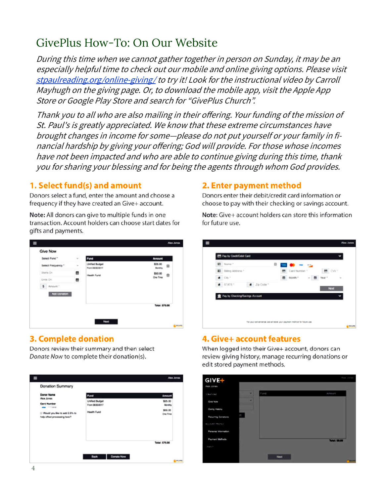# GivePlus How-To: On Our Website

During this time when we cannot gather together in person on Sunday, it may be an especially helpful time to check out our mobile and online giving options. Please visit stpaulreading.org/online-giving/ to try it! Look for the instructional video by Carroll Mayhugh on the giving page. Or, to download the mobile app, visit the Apple App Store or Google Play Store and search for "GivePlus Church".

Thank you to all who are also mailing in their offering. Your funding of the mission of St. Paul's is greatly appreciated. We know that these extreme circumstances have brought changes in income for some—please do not put yourself or your family in financial hardship by giving your offering; God will provide. For those whose incomes have not been impacted and who are able to continue giving during this time, thank you for sharing your blessing and for being the agents through whom God provides.

#### 1. Select fund(s) and amount

Donors select a fund, enter the amount and choose a frequency if they have created an Give+ account.

Note: All donors can give to multiple funds in one transaction. Account holders can choose start dates for gifts and payments.

| Select Fund."      | <b>STATISTICS</b><br>Fund<br>$\mathcal{P}$ :       | Amount                  |
|--------------------|----------------------------------------------------|-------------------------|
| Select Frequency * | <b>Linified Budget</b><br>$\sim$<br>From 0600/2017 | \$25.00<br>Ĥ<br>Monthly |
| Sterts On          | ۰<br><b>Health Fund</b>                            | \$50.00<br>會            |
| Ends On            | ▩                                                  | One Time                |
| \$ Amount          |                                                    |                         |
| Add Danadon        |                                                    |                         |
|                    |                                                    | Total: \$75.00          |
|                    |                                                    |                         |

### **3. Complete donation**

Donors review their summary and then select Donate Now to complete their donation(s).



#### 2. Enter payment method

Donors enter their debit/credit card information or choose to pay with their checking or savings account.

Note: Give+ account holders can store this information for future use.

| <b>RECONSTRUCT</b>              |            | 自 | .                |          |       |
|---------------------------------|------------|---|------------------|----------|-------|
| 图 Diffing Address "             |            |   | 图: Card Number 1 |          | E CW* |
| $\bullet$ : cap +               |            |   | m store."        | - 图 War* | ÷     |
| # STATE*                        | $E_0$ Cobe |   |                  |          | Next  |
|                                 |            |   |                  |          |       |
| Pay by Checking/Savings Account |            |   |                  |          |       |

### 4. Give+ account features

When logged into their Give+ account, donors can review giving history, manage recurring donations or edit stored payment methods.

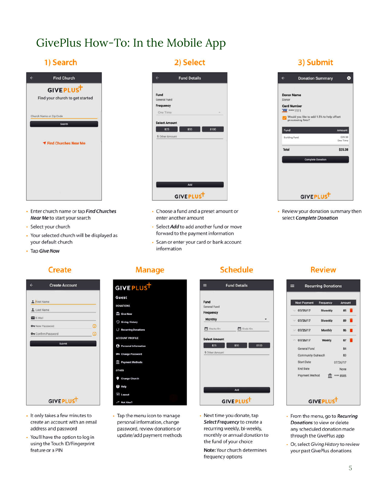# GivePlus How-To: In the Mobile App

### 1) Search

| <b>Find Church</b>              |
|---------------------------------|
| GIVEPLUST                       |
| Find your church to get started |
| Church Name or Zip Code         |
| Search                          |
| <b>▼ Find Churches Near Me</b>  |
|                                 |
|                                 |

2) Select

|                      | <b>Fund Details</b> |  |
|----------------------|---------------------|--|
| Fund                 |                     |  |
| General Fund         |                     |  |
| Frequency            |                     |  |
| One Time             | $\sim$              |  |
|                      |                     |  |
| <b>Select Amount</b> |                     |  |
| \$25                 | \$50<br>\$100       |  |
|                      |                     |  |
| \$ Other Amount      |                     |  |
|                      |                     |  |
|                      |                     |  |
|                      |                     |  |
|                      |                     |  |
|                      |                     |  |
|                      |                     |  |
|                      |                     |  |
|                      | Add                 |  |
|                      |                     |  |
|                      | GIVEPLUST           |  |
|                      |                     |  |

- Choose a fund and a preset amount or enter another amount
- Select Add to add another fund or move forward to the payment information
- · Scan or enter your card or bank account information

### 3) Submit



• Review your donation summary then select Complete Donation

- Enter church name or tap Find Churches Near Me to start your search
- · Select your church
- Your selected church will be displayed as your default church
- Tap Give Now

### Create

| $\overline{a}$<br><b>Create Account</b> |   |
|-----------------------------------------|---|
| First Name                              |   |
| 2 Last Name                             |   |
| E-Mail                                  |   |
| Ov New Password                         | ω |
| Ov Confirm Password                     | Θ |
| Submit                                  |   |
|                                         |   |
|                                         |   |
|                                         |   |
|                                         |   |
|                                         |   |
|                                         |   |
| GIVEPLUST                               |   |

- It only takes a few minutes to create an account with an email address and password
- You'll have the option to log in using the Touch ID/Fingerprint feature or a PIN

### **Manage**

GIVEPLUST

Guest

DONATIONS

**CD** Give Now

**C** Giving History

C Recurring Donat

**CCOUNT PROFILE** 

**e** Personal Information

Ov Change Password

**111** Payment Methods

Change Church @ Help  $\Box$  Logout

 $\rightleftharpoons$  Not Alex?

• Tap the menu icon to manage

personal information, change

password, review donations or

update/add payment methods

OTHER

### **Schedule**



• Next time you donate, tap Select Frequency to create a recurring weekly, bi-weekly, monthly or annual donation to the fund of your choice

Note: Your church determines frequency options

### **Review**



- From the menu, go to Recurring Donations to view or delete any scheduled donation made through the GivePlus app
- Or, select Giving History to review your past GivePlus donations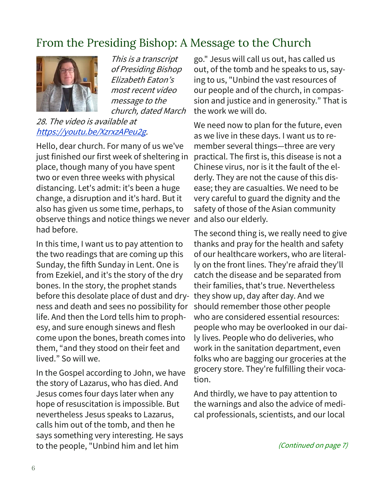# From the Presiding Bishop: A Message to the Church



This is a transcript of Presiding Bishop Elizabeth Eaton's most recent video message to the church, dated March

### 28. The video is available at https://youtu.be/XzrxzAPeu2g.

Hello, dear church. For many of us we've just finished our first week of sheltering in place, though many of you have spent two or even three weeks with physical distancing. Let's admit: it's been a huge change, a disruption and it's hard. But it also has given us some time, perhaps, to observe things and notice things we never and also our elderly. had before.

In this time, I want us to pay attention to the two readings that are coming up this Sunday, the fifth Sunday in Lent. One is from Ezekiel, and it's the story of the dry bones. In the story, the prophet stands before this desolate place of dust and dryness and death and sees no possibility for life. And then the Lord tells him to prophesy, and sure enough sinews and flesh come upon the bones, breath comes into them, "and they stood on their feet and lived." So will we.

In the Gospel according to John, we have the story of Lazarus, who has died. And Jesus comes four days later when any hope of resuscitation is impossible. But nevertheless Jesus speaks to Lazarus, calls him out of the tomb, and then he says something very interesting. He says to the people, "Unbind him and let him

go." Jesus will call us out, has called us out, of the tomb and he speaks to us, saying to us, "Unbind the vast resources of our people and of the church, in compassion and justice and in generosity." That is the work we will do.

We need now to plan for the future, even as we live in these days. I want us to remember several things—three are very practical. The first is, this disease is not a Chinese virus, nor is it the fault of the elderly. They are not the cause of this disease; they are casualties. We need to be very careful to guard the dignity and the safety of those of the Asian community

The second thing is, we really need to give thanks and pray for the health and safety of our healthcare workers, who are literally on the front lines. They're afraid they'll catch the disease and be separated from their families, that's true. Nevertheless they show up, day after day. And we should remember those other people who are considered essential resources: people who may be overlooked in our daily lives. People who do deliveries, who work in the sanitation department, even folks who are bagging our groceries at the grocery store. They're fulfilling their vocation.

And thirdly, we have to pay attention to the warnings and also the advice of medical professionals, scientists, and our local

(Continued on page 7)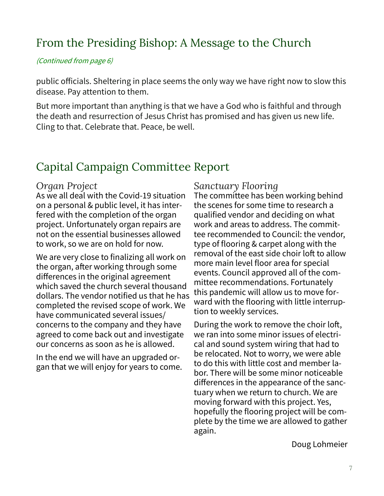# From the Presiding Bishop: A Message to the Church

(Continued from page 6)

public officials. Sheltering in place seems the only way we have right now to slow this disease. Pay attention to them.

But more important than anything is that we have a God who is faithful and through the death and resurrection of Jesus Christ has promised and has given us new life. Cling to that. Celebrate that. Peace, be well.

# Capital Campaign Committee Report

### *Organ Project*

As we all deal with the Covid-19 situation on a personal & public level, it has interfered with the completion of the organ project. Unfortunately organ repairs are not on the essential businesses allowed to work, so we are on hold for now.

We are very close to finalizing all work on the organ, after working through some differences in the original agreement which saved the church several thousand dollars. The vendor notified us that he has completed the revised scope of work. We have communicated several issues/ concerns to the company and they have agreed to come back out and investigate our concerns as soon as he is allowed.

In the end we will have an upgraded organ that we will enjoy for years to come.

### *Sanctuary Flooring*

The committee has been working behind the scenes for some time to research a qualified vendor and deciding on what work and areas to address. The committee recommended to Council: the vendor, type of flooring & carpet along with the removal of the east side choir loft to allow more main level floor area for special events. Council approved all of the committee recommendations. Fortunately this pandemic will allow us to move forward with the flooring with little interruption to weekly services.

During the work to remove the choir loft, we ran into some minor issues of electrical and sound system wiring that had to be relocated. Not to worry, we were able to do this with little cost and member labor. There will be some minor noticeable differences in the appearance of the sanctuary when we return to church. We are moving forward with this project. Yes, hopefully the flooring project will be complete by the time we are allowed to gather again.

Doug Lohmeier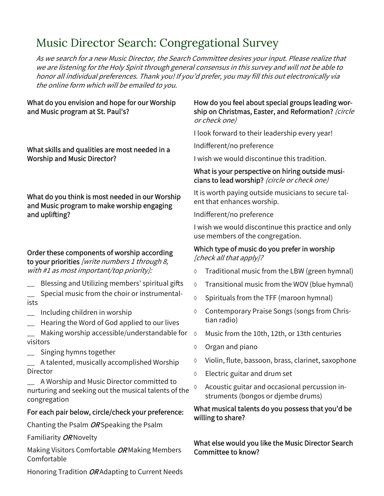# Music Director Search: Congregational Survey

As we search for a new Music Director, the Search Committee desires your input. Please realize that we are listening for the Holy Spirit through general consensus in this survey and will not be able to honor all individual preferences. Thank you! If you'd prefer, you may fill this out electronically via the online form which will be emailed to you.

#### What do you envision and hope for our Worship and Music program at St. Paul's?

What skills and qualities are most needed in a Worship and Music Director?

What do you think is most needed in our Worship and Music program to make worship engaging and uplifting?

### Order these components of worship according

to your priorities [write numbers 1 through 8, with #1 as most important/top priority]:

- Blessing and Utilizing members' spiritual gifts
- Special music from the choir or instrumentalists
- \_\_ Including children in worship
- \_\_ Hearing the Word of God applied to our lives
- Making worship accessible/understandable for  $\Diamond$ visitors
- \_\_ Singing hymns together
- \_\_ A talented, musically accomplished Worship Director
- \_\_ A Worship and Music Director committed to nurturing and seeking out the musical talents of the congregation

### For each pair below, circle/check your preference:

Chanting the Psalm OR Speaking the Psalm

Familiarity OR Novelty

Making Visitors Comfortable OR Making Members Comfortable

Honoring Tradition OR Adapting to Current Needs

#### How do you feel about special groups leading worship on Christmas, Easter, and Reformation? (circle or check one)

I look forward to their leadership every year!

Indifferent/no preference

I wish we would discontinue this tradition.

#### What is your perspective on hiring outside musicians to lead worship? (circle or check one)

It is worth paying outside musicians to secure talent that enhances worship.

Indifferent/no preference

I wish we would discontinue this practice and only use members of the congregation.

#### Which type of music do you prefer in worship [check all that apply]?

- Traditional music from the LBW (green hymnal)
- $\lozenge$  Transitional music from the WOV (blue hymnal)
- $\lozenge$  Spirituals from the TFF (maroon hymnal)
- Contemporary Praise Songs (songs from Christian radio)
- Music from the 10th, 12th, or 13th centuries
- $\lozenge$  Organ and piano
- $\Diamond$  Violin, flute, bassoon, brass, clarinet, saxophone
- Electric guitar and drum set
- $\lozenge$  Acoustic guitar and occasional percussion instruments (bongos or djembe drums)

#### What musical talents do you possess that you'd be willing to share?

What else would you like the Music Director Search Committee to know?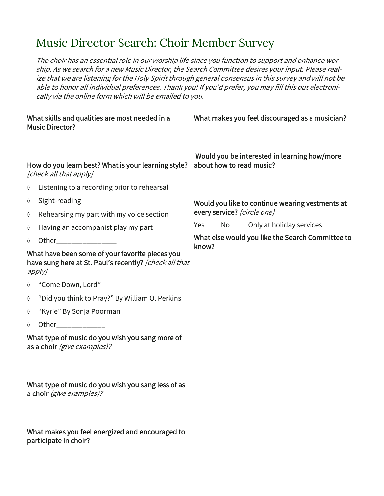## Music Director Search: Choir Member Survey

The choir has an essential role in our worship life since you function to support and enhance worship. As we search for a new Music Director, the Search Committee desires your input. Please realize that we are listening for the Holy Spirit through general consensus in this survey and will not be able to honor all individual preferences. Thank you! If you'd prefer, you may fill this out electronically via the online form which will be emailed to you.

#### What skills and qualities are most needed in a Music Director?

What makes you feel discouraged as a musician?

#### How do you learn best? What is your learning style? [check all that apply]

- $\Diamond$  Listening to a recording prior to rehearsal
- $\lozenge$  Sight-reading
- $\Diamond$  Rehearsing my part with my voice section
- $\Diamond$  Having an accompanist play my part
- $\Diamond$  Other

What have been some of your favorite pieces you have sung here at St. Paul's recently? [check all that apply]

- "Come Down, Lord"
- "Did you think to Pray?" By William O. Perkins
- "Kyrie" By Sonja Poorman
- $\lozenge$  Other

What type of music do you wish you sang more of as a choir (give examples)?

What type of music do you wish you sang less of as a choir (give examples)?

What makes you feel energized and encouraged to participate in choir?

 Would you be interested in learning how/more about how to read music?

Would you like to continue wearing vestments at every service? [circle one]

Yes No Only at holiday services

What else would you like the Search Committee to know?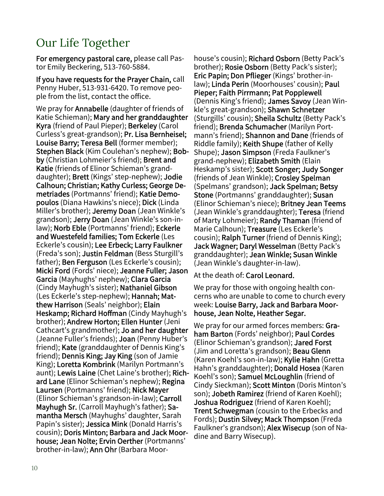# Our Life Together

For emergency pastoral care, please call Pastor Emily Beckering, 513-760-5884.

If you have requests for the Prayer Chain, call Penny Huber, 513-931-6420. To remove people from the list, contact the office.

We pray for **Annabelle** (daughter of friends of Katie Schieman); Mary and her granddaughter Kyra (friend of Paul Pieper); Berkeley (Carol Curless's great-grandson); Pr. Lisa Bernheisel; Louise Barry; Teresa Bell (former member); Stephen Black (Kim Coulehan's nephew); Bobby (Christian Lohmeier's friend); Brent and Katie (friends of Elinor Schieman's granddaughter); Brett (Kings' step-nephew); Jodie Calhoun; Christian; Kathy Curless; George Demetriades (Portmanns' friend); Katie Demopoulos (Diana Hawkins's niece); Dick (Linda Miller's brother); Jeremy Doan (Jean Winkle's grandson); Jerry Doan (Jean Winkle's son-inlaw); Norb Eble (Portmanns' friend); Eckerle and Wuestefeld families; Tom Eckerle (Les Eckerle's cousin); Lee Erbeck; Larry Faulkner (Freda's son); Justin Feldman (Bess Sturgill's father); Ben Ferguson (Les Eckerle's cousin); Micki Ford (Fords' niece); Jeanne Fuller; Jason Garcia (Mayhughs' nephew); Clara Garcia (Cindy Mayhugh's sister); Nathaniel Gibson (Les Eckerle's step-nephew); Hannah; Matthew Harrison (Seals' neighbor); Elain Heskamp; Richard Hoffman (Cindy Mayhugh's brother); Andrew Horton; Ellen Hunter (Jeni Cathcart's grandmother); Jo and her daughter (Jeanne Fuller's friends); Joan (Penny Huber's friend); Kate (granddaughter of Dennis King's friend); Dennis King; Jay King (son of Jamie King); Loretta Kombrink (Marilyn Portmann's aunt); Lewis Laine (Chet Laine's brother); Richard Lane (Elinor Schieman's nephew); Regina Laursen (Portmanns' friend); Nick Mayer (Elinor Schieman's grandson-in-law); Carroll Mayhugh Sr. (Carroll Mayhugh's father); Samantha Mersch (Mayhughs' daughter, Sarah Papin's sister); Jessica Mink (Donald Harris's cousin); Doris Minton; Barbara and Jack Moorhouse; Jean Nolte; Ervin Oerther (Portmanns' brother-in-law); Ann Ohr (Barbara Moor-

house's cousin); Richard Osborn (Betty Pack's brother); Rosie Osborn (Betty Pack's sister); Eric Papin; Don Pflieger (Kings' brother-inlaw); Linda Perin (Moorhouses' cousin); Paul Pieper; Faith Pirrmann; Pat Popplewell (Dennis King's friend); James Savoy (Jean Winkle's great-grandson); Shawn Schnetzer (Sturgills' cousin); Sheila Schultz (Betty Pack's friend); Brenda Schumacher (Marilyn Portmann's friend); Shannon and Dane (friends of Riddle family); Keith Shupe (father of Kelly Shupe); Jason Simpson (Freda Faulkner's grand-nephew); Elizabeth Smith (Elain Heskamp's sister); Scott Songer; Judy Songer (friends of Jean Winkle); Crosley Spelman (Spelmans' grandson); Jack Spelman; Betsy Stone (Portmanns' granddaughter); Susan (Elinor Schieman's niece); Britney Jean Teems (Jean Winkle's granddaughter); Teresa (friend of Marty Lohmeier); Randy Thaman (friend of Marie Calhoun); Treasure (Les Eckerle's cousin); Ralph Turner (friend of Dennis King); Jack Wagner; Daryl Wesselman (Betty Pack's granddaughter); Jean Winkle; Susan Winkle (Jean Winkle's daughter-in-law).

At the death of: Carol Leonard.

We pray for those with ongoing health concerns who are unable to come to church every week: Louise Barry, Jack and Barbara Moorhouse, Jean Nolte, Heather Segar.

We pray for our armed forces members: Graham Barton (Fords' neighbor); Paul Cordes (Elinor Schieman's grandson); Jared Forst (Jim and Loretta's grandson); **Beau Glenn** (Karen Koehl's son-in-law); Kylie Hahn (Gretta Hahn's granddaughter); Donald Hosea (Karen Koehl's son); Samuel McLoughlin (friend of Cindy Sieckman); Scott Minton (Doris Minton's son); Jobeth Ramirez (friend of Karen Koehl); Joshua Rodriguez (friend of Karen Koehl); Trent Schwegman (cousin to the Erbecks and Fords); Dustin Silvey; Mack Thompson (Freda Faulkner's grandson); Alex Wisecup (son of Nadine and Barry Wisecup).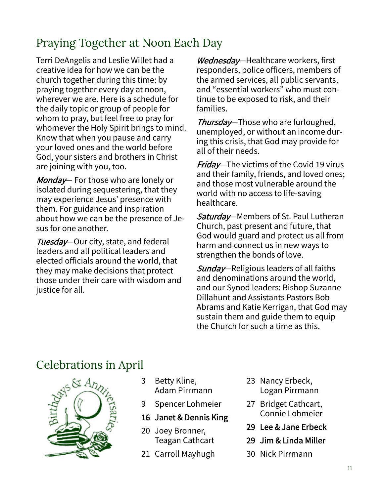# Praying Together at Noon Each Day

Terri DeAngelis and Leslie Willet had a creative idea for how we can be the church together during this time: by praying together every day at noon, wherever we are. Here is a schedule for the daily topic or group of people for whom to pray, but feel free to pray for whomever the Holy Spirit brings to mind. Know that when you pause and carry your loved ones and the world before God, your sisters and brothers in Christ are joining with you, too.

Monday - For those who are lonely or isolated during sequestering, that they may experience Jesus' presence with them. For guidance and inspiration about how we can be the presence of Jesus for one another.

Tuesday–Our city, state, and federal leaders and all political leaders and elected officials around the world, that they may make decisions that protect those under their care with wisdom and justice for all.

Wednesday-Healthcare workers, first responders, police officers, members of the armed services, all public servants, and "essential workers" who must continue to be exposed to risk, and their families.

Thursday-Those who are furloughed, unemployed, or without an income during this crisis, that God may provide for all of their needs.

**Friday**—The victims of the Covid 19 virus and their family, friends, and loved ones; and those most vulnerable around the world with no access to life-saving healthcare.

Saturday—Members of St. Paul Lutheran Church, past present and future, that God would guard and protect us all from harm and connect us in new ways to strengthen the bonds of love.

Sunday—Religious leaders of all faiths and denominations around the world, and our Synod leaders: Bishop Suzanne Dillahunt and Assistants Pastors Bob Abrams and Katie Kerrigan, that God may sustain them and guide them to equip the Church for such a time as this.

### Celebrations in April



- 3 Betty Kline, Adam Pirrmann
- 9 Spencer Lohmeier

### 16 Janet & Dennis King

- 20 Joey Bronner, Teagan Cathcart
- 21 Carroll Mayhugh
- 23 Nancy Erbeck, Logan Pirrmann
- 27 Bridget Cathcart, Connie Lohmeier
- 29 Lee & Jane Erbeck
- 29 Jim & Linda Miller
- 30 Nick Pirrmann